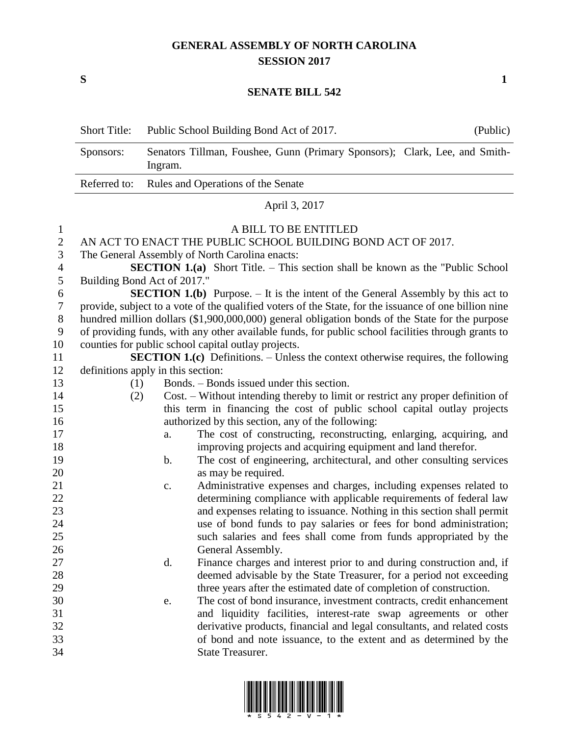## **GENERAL ASSEMBLY OF NORTH CAROLINA SESSION 2017**

**S 1**

## **SENATE BILL 542**

|                                                                                                                                                                                                                                                      | <b>Short Title:</b> | Public School Building Bond Act of 2017.                                                                                                                                                                                                                                                                                                                                                                                                                                                                                                                                                                                                                                                                                                                                                                                                                                                                                                                                                                                                                                                                                                                                                                                                                                                                                                                                                                                                                                                                                                                                                                                                                                                                                                                                                                                                                                                                                                                                                                                                                                                                                                                                 | (Public) |
|------------------------------------------------------------------------------------------------------------------------------------------------------------------------------------------------------------------------------------------------------|---------------------|--------------------------------------------------------------------------------------------------------------------------------------------------------------------------------------------------------------------------------------------------------------------------------------------------------------------------------------------------------------------------------------------------------------------------------------------------------------------------------------------------------------------------------------------------------------------------------------------------------------------------------------------------------------------------------------------------------------------------------------------------------------------------------------------------------------------------------------------------------------------------------------------------------------------------------------------------------------------------------------------------------------------------------------------------------------------------------------------------------------------------------------------------------------------------------------------------------------------------------------------------------------------------------------------------------------------------------------------------------------------------------------------------------------------------------------------------------------------------------------------------------------------------------------------------------------------------------------------------------------------------------------------------------------------------------------------------------------------------------------------------------------------------------------------------------------------------------------------------------------------------------------------------------------------------------------------------------------------------------------------------------------------------------------------------------------------------------------------------------------------------------------------------------------------------|----------|
|                                                                                                                                                                                                                                                      | Sponsors:           | Senators Tillman, Foushee, Gunn (Primary Sponsors); Clark, Lee, and Smith-<br>Ingram.                                                                                                                                                                                                                                                                                                                                                                                                                                                                                                                                                                                                                                                                                                                                                                                                                                                                                                                                                                                                                                                                                                                                                                                                                                                                                                                                                                                                                                                                                                                                                                                                                                                                                                                                                                                                                                                                                                                                                                                                                                                                                    |          |
|                                                                                                                                                                                                                                                      | Referred to:        | Rules and Operations of the Senate                                                                                                                                                                                                                                                                                                                                                                                                                                                                                                                                                                                                                                                                                                                                                                                                                                                                                                                                                                                                                                                                                                                                                                                                                                                                                                                                                                                                                                                                                                                                                                                                                                                                                                                                                                                                                                                                                                                                                                                                                                                                                                                                       |          |
|                                                                                                                                                                                                                                                      |                     | April 3, 2017                                                                                                                                                                                                                                                                                                                                                                                                                                                                                                                                                                                                                                                                                                                                                                                                                                                                                                                                                                                                                                                                                                                                                                                                                                                                                                                                                                                                                                                                                                                                                                                                                                                                                                                                                                                                                                                                                                                                                                                                                                                                                                                                                            |          |
| $\mathbf{1}$<br>$\overline{2}$<br>3<br>$\overline{4}$<br>5<br>6<br>$\boldsymbol{7}$<br>$8\,$<br>$\boldsymbol{9}$<br>10<br>11<br>12<br>13<br>14<br>15<br>16<br>17<br>18<br>19<br>20<br>21<br>22<br>23<br>24<br>25<br>26<br>27<br>28<br>29<br>30<br>31 | (1)<br>(2)          | A BILL TO BE ENTITLED<br>AN ACT TO ENACT THE PUBLIC SCHOOL BUILDING BOND ACT OF 2017.<br>The General Assembly of North Carolina enacts:<br><b>SECTION 1.(a)</b> Short Title. – This section shall be known as the "Public School"<br>Building Bond Act of 2017."<br><b>SECTION 1.(b)</b> Purpose. $-$ It is the intent of the General Assembly by this act to<br>provide, subject to a vote of the qualified voters of the State, for the issuance of one billion nine<br>hundred million dollars (\$1,900,000,000) general obligation bonds of the State for the purpose<br>of providing funds, with any other available funds, for public school facilities through grants to<br>counties for public school capital outlay projects.<br><b>SECTION 1.(c)</b> Definitions. – Unless the context otherwise requires, the following<br>definitions apply in this section:<br>Bonds. – Bonds issued under this section.<br>Cost. – Without intending thereby to limit or restrict any proper definition of<br>this term in financing the cost of public school capital outlay projects<br>authorized by this section, any of the following:<br>The cost of constructing, reconstructing, enlarging, acquiring, and<br>a.<br>improving projects and acquiring equipment and land therefor.<br>The cost of engineering, architectural, and other consulting services<br>b.<br>as may be required.<br>Administrative expenses and charges, including expenses related to<br>c.<br>determining compliance with applicable requirements of federal law<br>and expenses relating to issuance. Nothing in this section shall permit<br>use of bond funds to pay salaries or fees for bond administration;<br>such salaries and fees shall come from funds appropriated by the<br>General Assembly.<br>Finance charges and interest prior to and during construction and, if<br>d.<br>deemed advisable by the State Treasurer, for a period not exceeding<br>three years after the estimated date of completion of construction.<br>The cost of bond insurance, investment contracts, credit enhancement<br>e.<br>and liquidity facilities, interest-rate swap agreements or other |          |
| 32<br>33<br>34                                                                                                                                                                                                                                       |                     | derivative products, financial and legal consultants, and related costs<br>of bond and note issuance, to the extent and as determined by the<br><b>State Treasurer.</b>                                                                                                                                                                                                                                                                                                                                                                                                                                                                                                                                                                                                                                                                                                                                                                                                                                                                                                                                                                                                                                                                                                                                                                                                                                                                                                                                                                                                                                                                                                                                                                                                                                                                                                                                                                                                                                                                                                                                                                                                  |          |

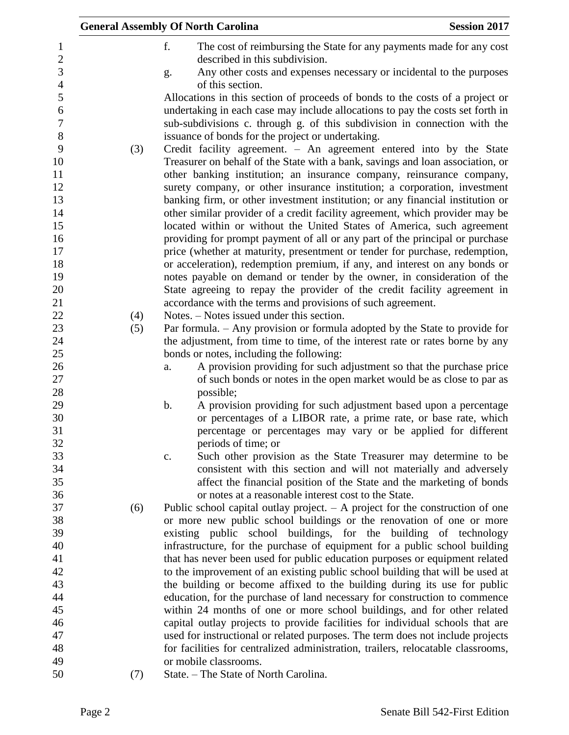|                                |     | <b>General Assembly Of North Carolina</b><br><b>Session 2017</b>                                                                                                                                                                             |  |
|--------------------------------|-----|----------------------------------------------------------------------------------------------------------------------------------------------------------------------------------------------------------------------------------------------|--|
| $\mathbf{1}$<br>$\overline{2}$ |     | f.<br>The cost of reimbursing the State for any payments made for any cost<br>described in this subdivision.                                                                                                                                 |  |
| 3<br>$\overline{4}$            |     | Any other costs and expenses necessary or incidental to the purposes<br>g.<br>of this section.                                                                                                                                               |  |
| 5<br>6<br>$\boldsymbol{7}$     |     | Allocations in this section of proceeds of bonds to the costs of a project or<br>undertaking in each case may include allocations to pay the costs set forth in<br>sub-subdivisions c. through g. of this subdivision in connection with the |  |
| 8                              |     | issuance of bonds for the project or undertaking.                                                                                                                                                                                            |  |
| 9<br>10<br>11                  | (3) | Credit facility agreement. $-$ An agreement entered into by the State<br>Treasurer on behalf of the State with a bank, savings and loan association, or<br>other banking institution; an insurance company, reinsurance company,             |  |
| 12                             |     | surety company, or other insurance institution; a corporation, investment                                                                                                                                                                    |  |
| 13<br>14                       |     | banking firm, or other investment institution; or any financial institution or<br>other similar provider of a credit facility agreement, which provider may be                                                                               |  |
| 15                             |     | located within or without the United States of America, such agreement                                                                                                                                                                       |  |
| 16                             |     | providing for prompt payment of all or any part of the principal or purchase                                                                                                                                                                 |  |
| 17                             |     | price (whether at maturity, presentment or tender for purchase, redemption,                                                                                                                                                                  |  |
| 18                             |     | or acceleration), redemption premium, if any, and interest on any bonds or                                                                                                                                                                   |  |
| 19<br>20                       |     | notes payable on demand or tender by the owner, in consideration of the<br>State agreeing to repay the provider of the credit facility agreement in                                                                                          |  |
| 21                             |     | accordance with the terms and provisions of such agreement.                                                                                                                                                                                  |  |
| 22                             | (4) | Notes. – Notes issued under this section.                                                                                                                                                                                                    |  |
| 23                             | (5) | Par formula. - Any provision or formula adopted by the State to provide for                                                                                                                                                                  |  |
| 24                             |     | the adjustment, from time to time, of the interest rate or rates borne by any                                                                                                                                                                |  |
| 25                             |     | bonds or notes, including the following:                                                                                                                                                                                                     |  |
| 26                             |     | A provision providing for such adjustment so that the purchase price<br>a.                                                                                                                                                                   |  |
| 27                             |     | of such bonds or notes in the open market would be as close to par as                                                                                                                                                                        |  |
| 28                             |     | possible;                                                                                                                                                                                                                                    |  |
| 29                             |     | b.<br>A provision providing for such adjustment based upon a percentage                                                                                                                                                                      |  |
| 30                             |     | or percentages of a LIBOR rate, a prime rate, or base rate, which                                                                                                                                                                            |  |
| 31                             |     | percentage or percentages may vary or be applied for different                                                                                                                                                                               |  |
| 32                             |     | periods of time; or                                                                                                                                                                                                                          |  |
| 33                             |     | Such other provision as the State Treasurer may determine to be<br>c.                                                                                                                                                                        |  |
| 34                             |     | consistent with this section and will not materially and adversely                                                                                                                                                                           |  |
| 35                             |     | affect the financial position of the State and the marketing of bonds                                                                                                                                                                        |  |
| 36<br>37                       |     | or notes at a reasonable interest cost to the State.                                                                                                                                                                                         |  |
| 38                             | (6) | Public school capital outlay project. $-$ A project for the construction of one<br>or more new public school buildings or the renovation of one or more                                                                                      |  |
| 39                             |     | existing public school buildings, for the building of technology                                                                                                                                                                             |  |
| 40                             |     | infrastructure, for the purchase of equipment for a public school building                                                                                                                                                                   |  |
| 41                             |     | that has never been used for public education purposes or equipment related                                                                                                                                                                  |  |
| 42                             |     | to the improvement of an existing public school building that will be used at                                                                                                                                                                |  |
| 43                             |     | the building or become affixed to the building during its use for public                                                                                                                                                                     |  |
| 44                             |     | education, for the purchase of land necessary for construction to commence                                                                                                                                                                   |  |
| 45                             |     | within 24 months of one or more school buildings, and for other related                                                                                                                                                                      |  |
| 46                             |     | capital outlay projects to provide facilities for individual schools that are                                                                                                                                                                |  |
| 47                             |     | used for instructional or related purposes. The term does not include projects                                                                                                                                                               |  |
| 48                             |     | for facilities for centralized administration, trailers, relocatable classrooms,                                                                                                                                                             |  |
| 49                             |     | or mobile classrooms.                                                                                                                                                                                                                        |  |
| 50                             | (7) | State. – The State of North Carolina.                                                                                                                                                                                                        |  |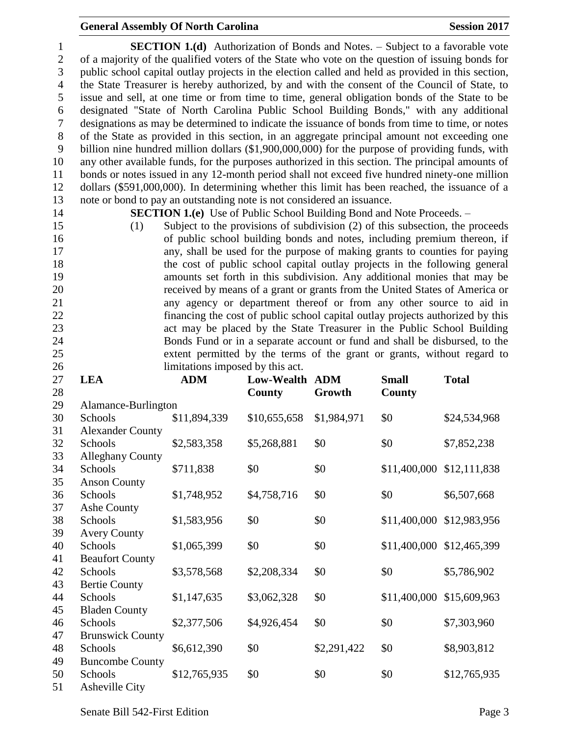## **General Assembly Of North Carolina Session 2017**

 **SECTION 1.(d)** Authorization of Bonds and Notes. – Subject to a favorable vote of a majority of the qualified voters of the State who vote on the question of issuing bonds for public school capital outlay projects in the election called and held as provided in this section, the State Treasurer is hereby authorized, by and with the consent of the Council of State, to issue and sell, at one time or from time to time, general obligation bonds of the State to be designated "State of North Carolina Public School Building Bonds," with any additional designations as may be determined to indicate the issuance of bonds from time to time, or notes of the State as provided in this section, in an aggregate principal amount not exceeding one billion nine hundred million dollars (\$1,900,000,000) for the purpose of providing funds, with any other available funds, for the purposes authorized in this section. The principal amounts of bonds or notes issued in any 12-month period shall not exceed five hundred ninety-one million dollars (\$591,000,000). In determining whether this limit has been reached, the issuance of a note or bond to pay an outstanding note is not considered an issuance.

**SECTION 1.(e)** Use of Public School Building Bond and Note Proceeds. –

 (1) Subject to the provisions of subdivision (2) of this subsection, the proceeds of public school building bonds and notes, including premium thereon, if any, shall be used for the purpose of making grants to counties for paying the cost of public school capital outlay projects in the following general amounts set forth in this subdivision. Any additional monies that may be received by means of a grant or grants from the United States of America or any agency or department thereof or from any other source to aid in financing the cost of public school capital outlay projects authorized by this act may be placed by the State Treasurer in the Public School Building Bonds Fund or in a separate account or fund and shall be disbursed, to the extent permitted by the terms of the grant or grants, without regard to limitations imposed by this act.

| 27 | <b>LEA</b>              | <b>ADM</b>   | Low-Wealth ADM |             | <b>Small</b>              | <b>Total</b> |
|----|-------------------------|--------------|----------------|-------------|---------------------------|--------------|
| 28 |                         |              | County         | Growth      | County                    |              |
| 29 | Alamance-Burlington     |              |                |             |                           |              |
| 30 | Schools                 | \$11,894,339 | \$10,655,658   | \$1,984,971 | \$0                       | \$24,534,968 |
| 31 | <b>Alexander County</b> |              |                |             |                           |              |
| 32 | Schools                 | \$2,583,358  | \$5,268,881    | \$0         | \$0                       | \$7,852,238  |
| 33 | <b>Alleghany County</b> |              |                |             |                           |              |
| 34 | Schools                 | \$711,838    | \$0            | \$0         | \$11,400,000 \$12,111,838 |              |
| 35 | <b>Anson County</b>     |              |                |             |                           |              |
| 36 | Schools                 | \$1,748,952  | \$4,758,716    | \$0         | \$0                       | \$6,507,668  |
| 37 | Ashe County             |              |                |             |                           |              |
| 38 | Schools                 | \$1,583,956  | \$0            | \$0         | \$11,400,000              | \$12,983,956 |
| 39 | <b>Avery County</b>     |              |                |             |                           |              |
| 40 | Schools                 | \$1,065,399  | \$0            | \$0         | \$11,400,000              | \$12,465,399 |
| 41 | <b>Beaufort County</b>  |              |                |             |                           |              |
| 42 | Schools                 | \$3,578,568  | \$2,208,334    | \$0         | \$0                       | \$5,786,902  |
| 43 | <b>Bertie County</b>    |              |                |             |                           |              |
| 44 | Schools                 | \$1,147,635  | \$3,062,328    | \$0         | \$11,400,000              | \$15,609,963 |
| 45 | <b>Bladen County</b>    |              |                |             |                           |              |
| 46 | Schools                 | \$2,377,506  | \$4,926,454    | \$0         | \$0                       | \$7,303,960  |
| 47 | <b>Brunswick County</b> |              |                |             |                           |              |
| 48 | Schools                 | \$6,612,390  | \$0            | \$2,291,422 | \$0                       | \$8,903,812  |
| 49 | <b>Buncombe County</b>  |              |                |             |                           |              |
| 50 | Schools                 | \$12,765,935 | \$0            | \$0         | \$0                       | \$12,765,935 |
| 51 | Asheville City          |              |                |             |                           |              |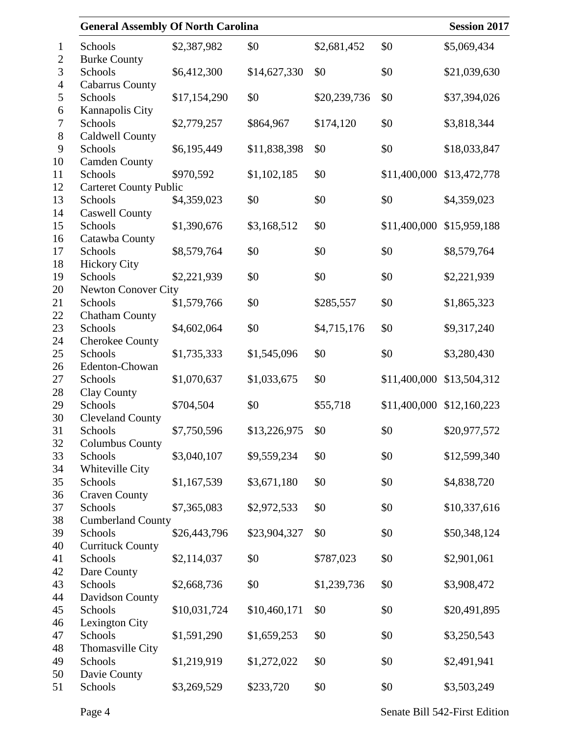|                                  | <b>General Assembly Of North Carolina</b> |              |              |              |              | <b>Session 2017</b> |
|----------------------------------|-------------------------------------------|--------------|--------------|--------------|--------------|---------------------|
| $\mathbf 1$                      | Schools                                   | \$2,387,982  | \$0          | \$2,681,452  | \$0          | \$5,069,434         |
| $\mathfrak{2}$<br>$\mathfrak{Z}$ | <b>Burke County</b><br>Schools            | \$6,412,300  | \$14,627,330 | \$0          | \$0          | \$21,039,630        |
| $\overline{4}$<br>5              | <b>Cabarrus County</b><br>Schools         | \$17,154,290 | \$0          | \$20,239,736 | \$0          | \$37,394,026        |
| 6                                | Kannapolis City                           |              |              |              |              |                     |
| $\boldsymbol{7}$                 | Schools                                   | \$2,779,257  | \$864,967    | \$174,120    | \$0          | \$3,818,344         |
| $8\,$<br>9                       | Caldwell County<br>Schools                | \$6,195,449  | \$11,838,398 | \$0          | \$0          | \$18,033,847        |
| 10                               | <b>Camden County</b>                      |              |              |              |              |                     |
| 11                               | Schools                                   | \$970,592    | \$1,102,185  | \$0          | \$11,400,000 | \$13,472,778        |
| 12                               | <b>Carteret County Public</b>             |              |              |              |              |                     |
| 13                               | Schools                                   | \$4,359,023  | \$0          | \$0          | \$0          | \$4,359,023         |
| 14<br>15                         | <b>Caswell County</b><br>Schools          | \$1,390,676  | \$3,168,512  | \$0          | \$11,400,000 | \$15,959,188        |
| 16                               | Catawba County                            |              |              |              |              |                     |
| 17                               | Schools                                   | \$8,579,764  | \$0          | \$0          | \$0          | \$8,579,764         |
| 18                               | <b>Hickory City</b>                       |              |              |              |              |                     |
| 19                               | Schools                                   | \$2,221,939  | \$0          | \$0          | \$0          | \$2,221,939         |
| 20                               | <b>Newton Conover City</b>                |              |              |              |              |                     |
| 21                               | Schools                                   | \$1,579,766  | \$0          | \$285,557    | \$0          | \$1,865,323         |
| 22                               | <b>Chatham County</b>                     |              |              |              |              |                     |
| 23                               | Schools                                   | \$4,602,064  | \$0          | \$4,715,176  | \$0          | \$9,317,240         |
| 24                               | <b>Cherokee County</b>                    |              |              |              |              |                     |
| 25                               | Schools                                   | \$1,735,333  | \$1,545,096  | \$0          | \$0          | \$3,280,430         |
| 26                               | Edenton-Chowan                            |              |              |              |              |                     |
| 27                               | Schools                                   | \$1,070,637  | \$1,033,675  | \$0          | \$11,400,000 | \$13,504,312        |
| 28                               | Clay County                               |              |              |              |              |                     |
| 29                               | Schools                                   | \$704,504    | \$0          | \$55,718     | \$11,400,000 | \$12,160,223        |
| 30                               | <b>Cleveland County</b>                   |              |              |              |              |                     |
| 31                               | Schools                                   | \$7,750,596  | \$13,226,975 | \$0          | \$0          | \$20,977,572        |
| 32                               | <b>Columbus County</b>                    |              |              |              |              |                     |
| 33                               | Schools                                   | \$3,040,107  | \$9,559,234  | \$0          | \$0          | \$12,599,340        |
| 34<br>35                         | Whiteville City<br>Schools                | \$1,167,539  | \$3,671,180  | \$0          | \$0          | \$4,838,720         |
| 36                               | <b>Craven County</b>                      |              |              |              |              |                     |
| 37                               | Schools                                   | \$7,365,083  | \$2,972,533  | \$0          | \$0          | \$10,337,616        |
| 38                               | <b>Cumberland County</b>                  |              |              |              |              |                     |
| 39                               | Schools                                   | \$26,443,796 | \$23,904,327 | \$0          | \$0          | \$50,348,124        |
| 40                               | <b>Currituck County</b>                   |              |              |              |              |                     |
| 41                               | Schools                                   | \$2,114,037  | \$0          | \$787,023    | \$0          | \$2,901,061         |
| 42                               | Dare County                               |              |              |              |              |                     |
| 43                               | Schools                                   | \$2,668,736  | \$0          | \$1,239,736  | \$0          | \$3,908,472         |
| 44                               | Davidson County                           |              |              |              |              |                     |
| 45                               | Schools                                   | \$10,031,724 | \$10,460,171 | \$0          | \$0          | \$20,491,895        |
| 46                               | Lexington City                            |              |              |              |              |                     |
| 47                               | Schools                                   | \$1,591,290  | \$1,659,253  | \$0          | \$0          | \$3,250,543         |
| 48                               | Thomasville City                          |              |              |              |              |                     |
| 49                               | Schools                                   | \$1,219,919  | \$1,272,022  | \$0          | \$0          | \$2,491,941         |
| 50                               | Davie County                              |              |              |              |              |                     |
| 51                               | Schools                                   | \$3,269,529  | \$233,720    | \$0          | \$0          | \$3,503,249         |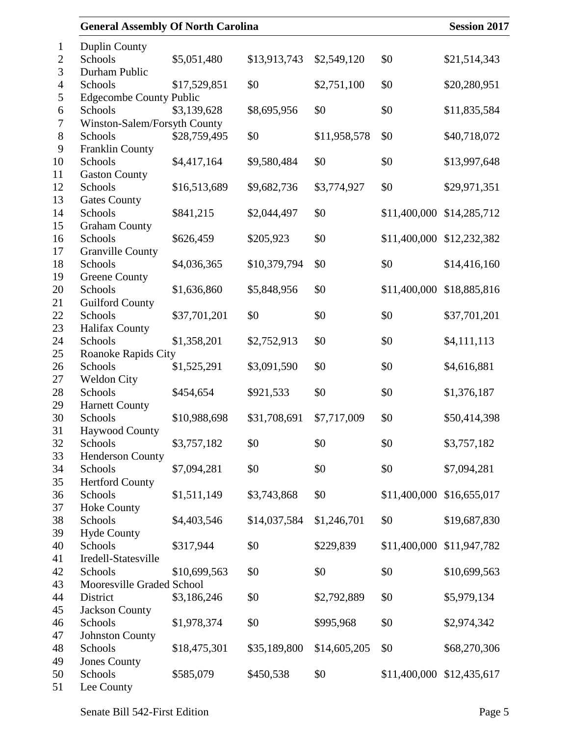| <b>General Assembly Of North Carolina</b> |              |              |              |              | <b>Session 2017</b>       |
|-------------------------------------------|--------------|--------------|--------------|--------------|---------------------------|
| <b>Duplin County</b>                      |              |              |              |              |                           |
| Schools                                   | \$5,051,480  | \$13,913,743 | \$2,549,120  | \$0          | \$21,514,343              |
| Durham Public                             |              |              |              |              |                           |
| Schools                                   | \$17,529,851 | \$0          | \$2,751,100  | \$0          | \$20,280,951              |
| <b>Edgecombe County Public</b>            |              |              |              |              |                           |
| Schools                                   | \$3,139,628  | \$8,695,956  | \$0          | \$0          | \$11,835,584              |
| Winston-Salem/Forsyth County              |              |              |              |              |                           |
| Schools                                   | \$28,759,495 | \$0          | \$11,958,578 | \$0          | \$40,718,072              |
| <b>Franklin County</b>                    |              |              |              |              |                           |
| Schools                                   | \$4,417,164  | \$9,580,484  | \$0          | \$0          | \$13,997,648              |
| <b>Gaston County</b>                      |              |              |              |              |                           |
| Schools                                   | \$16,513,689 | \$9,682,736  | \$3,774,927  | \$0          | \$29,971,351              |
| <b>Gates County</b>                       |              |              |              |              |                           |
| Schools                                   | \$841,215    | \$2,044,497  | \$0          | \$11,400,000 | \$14,285,712              |
| <b>Graham County</b>                      |              |              |              |              |                           |
| Schools                                   | \$626,459    | \$205,923    | \$0          |              | \$11,400,000 \$12,232,382 |
| <b>Granville County</b>                   |              |              |              |              |                           |
| Schools                                   | \$4,036,365  | \$10,379,794 | \$0          | \$0          | \$14,416,160              |
| <b>Greene County</b>                      |              |              |              |              |                           |
| Schools                                   | \$1,636,860  | \$5,848,956  | \$0          | \$11,400,000 | \$18,885,816              |
| <b>Guilford County</b>                    |              |              |              |              |                           |
| Schools                                   | \$37,701,201 | \$0          | \$0          | \$0          | \$37,701,201              |
| <b>Halifax County</b>                     |              |              |              |              |                           |
| Schools                                   | \$1,358,201  | \$2,752,913  | \$0          | \$0          | \$4,111,113               |
| Roanoke Rapids City                       |              |              |              |              |                           |
| Schools                                   | \$1,525,291  | \$3,091,590  | \$0          | \$0          | \$4,616,881               |
| <b>Weldon City</b>                        |              |              |              |              |                           |
| Schools                                   | \$454,654    | \$921,533    | \$0          | \$0          | \$1,376,187               |
| <b>Harnett County</b><br>Schools          | \$10,988,698 | \$31,708,691 | \$7,717,009  | \$0          | \$50,414,398              |
| <b>Haywood County</b>                     |              |              |              |              |                           |
| Schools                                   | \$3,757,182  | \$0          | \$0          | \$0          | \$3,757,182               |
| <b>Henderson County</b>                   |              |              |              |              |                           |
| Schools                                   | \$7,094,281  | \$0          | \$0          | \$0          | \$7,094,281               |
| <b>Hertford County</b>                    |              |              |              |              |                           |
| Schools                                   | \$1,511,149  | \$3,743,868  | \$0          | \$11,400,000 | \$16,655,017              |
| <b>Hoke County</b>                        |              |              |              |              |                           |
| Schools                                   | \$4,403,546  | \$14,037,584 | \$1,246,701  | \$0          | \$19,687,830              |
| <b>Hyde County</b>                        |              |              |              |              |                           |
| Schools                                   | \$317,944    | \$0          | \$229,839    |              | \$11,400,000 \$11,947,782 |
| Iredell-Statesville                       |              |              |              |              |                           |
| Schools                                   | \$10,699,563 | \$0          | \$0          | \$0          | \$10,699,563              |
| Mooresville Graded School                 |              |              |              |              |                           |
| District                                  | \$3,186,246  | \$0          | \$2,792,889  | \$0          | \$5,979,134               |
| <b>Jackson County</b>                     |              |              |              |              |                           |
| Schools                                   | \$1,978,374  | \$0          | \$995,968    | \$0          | \$2,974,342               |
| <b>Johnston County</b>                    |              |              |              |              |                           |
| Schools                                   | \$18,475,301 | \$35,189,800 | \$14,605,205 | \$0          | \$68,270,306              |
| <b>Jones County</b>                       |              |              |              |              |                           |
| Schools                                   | \$585,079    | \$450,538    | \$0          |              | \$11,400,000 \$12,435,617 |
| Lee County                                |              |              |              |              |                           |
|                                           |              |              |              |              |                           |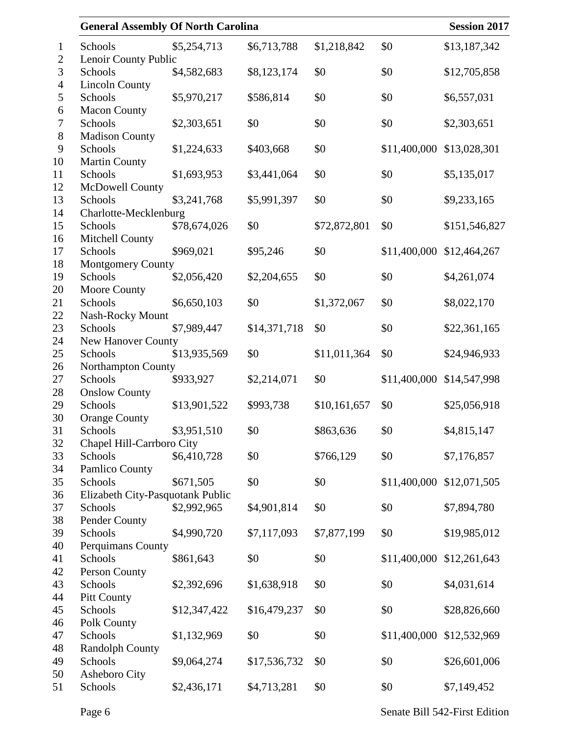| <b>General Assembly Of North Carolina</b> |              |              |              |              | <b>Session 2017</b> |
|-------------------------------------------|--------------|--------------|--------------|--------------|---------------------|
| Schools                                   | \$5,254,713  | \$6,713,788  | \$1,218,842  | \$0          | \$13,187,342        |
| Lenoir County Public                      |              |              |              |              |                     |
| Schools                                   | \$4,582,683  | \$8,123,174  | \$0          | \$0          | \$12,705,858        |
| <b>Lincoln County</b>                     |              |              |              |              |                     |
| Schools                                   | \$5,970,217  | \$586,814    | \$0          | \$0          | \$6,557,031         |
| <b>Macon County</b>                       |              |              |              |              |                     |
| Schools                                   | \$2,303,651  | \$0          | \$0          | \$0          | \$2,303,651         |
| <b>Madison County</b>                     |              |              |              |              |                     |
| Schools                                   | \$1,224,633  | \$403,668    | \$0          | \$11,400,000 | \$13,028,301        |
| <b>Martin County</b>                      |              |              |              |              |                     |
| Schools                                   | \$1,693,953  | \$3,441,064  | \$0          | \$0          | \$5,135,017         |
| McDowell County                           |              |              |              |              |                     |
| Schools                                   | \$3,241,768  | \$5,991,397  | \$0          | \$0          | \$9,233,165         |
| Charlotte-Mecklenburg<br>Schools          | \$78,674,026 | \$0          | \$72,872,801 | \$0          | \$151,546,827       |
| Mitchell County                           |              |              |              |              |                     |
| Schools                                   | \$969,021    | \$95,246     | \$0          | \$11,400,000 | \$12,464,267        |
| <b>Montgomery County</b>                  |              |              |              |              |                     |
| Schools                                   | \$2,056,420  | \$2,204,655  | \$0          | \$0          | \$4,261,074         |
| Moore County                              |              |              |              |              |                     |
| Schools                                   | \$6,650,103  | \$0          | \$1,372,067  | \$0          | \$8,022,170         |
| Nash-Rocky Mount                          |              |              |              |              |                     |
| Schools                                   | \$7,989,447  | \$14,371,718 | \$0          | \$0          | \$22,361,165        |
| New Hanover County                        |              |              |              |              |                     |
| Schools                                   | \$13,935,569 | \$0          | \$11,011,364 | \$0          | \$24,946,933        |
| Northampton County                        |              |              |              |              |                     |
| Schools                                   | \$933,927    | \$2,214,071  | \$0          | \$11,400,000 | \$14,547,998        |
| <b>Onslow County</b>                      |              |              |              |              |                     |
| Schools                                   | \$13,901,522 | \$993,738    | \$10,161,657 | \$0          | \$25,056,918        |
| <b>Orange County</b>                      |              |              |              |              |                     |
| Schools                                   | \$3,951,510  | \$0          | \$863,636    | \$0          | \$4,815,147         |
| Chapel Hill-Carrboro City                 |              |              |              |              |                     |
| Schools                                   | \$6,410,728  | \$0          | \$766,129    | \$0          | \$7,176,857         |
| Pamlico County<br>Schools                 | \$671,505    | \$0          | \$0          | \$11,400,000 | \$12,071,505        |
| Elizabeth City-Pasquotank Public          |              |              |              |              |                     |
| Schools                                   | \$2,992,965  | \$4,901,814  | \$0          | \$0          | \$7,894,780         |
| Pender County                             |              |              |              |              |                     |
| Schools                                   | \$4,990,720  | \$7,117,093  | \$7,877,199  | \$0          | \$19,985,012        |
| Perquimans County                         |              |              |              |              |                     |
| Schools                                   | \$861,643    | \$0          | \$0          | \$11,400,000 | \$12,261,643        |
| Person County                             |              |              |              |              |                     |
| Schools                                   | \$2,392,696  | \$1,638,918  | \$0          | \$0          | \$4,031,614         |
| <b>Pitt County</b>                        |              |              |              |              |                     |
| Schools                                   | \$12,347,422 | \$16,479,237 | \$0          | \$0          | \$28,826,660        |
| Polk County                               |              |              |              |              |                     |
| Schools                                   | \$1,132,969  | \$0          | \$0          | \$11,400,000 | \$12,532,969        |
| <b>Randolph County</b>                    |              |              |              |              |                     |
| Schools                                   | \$9,064,274  | \$17,536,732 | \$0          | \$0          | \$26,601,006        |
| Asheboro City                             |              |              |              |              |                     |
| Schools                                   | \$2,436,171  | \$4,713,281  | \$0          | \$0          | \$7,149,452         |
|                                           |              |              |              |              |                     |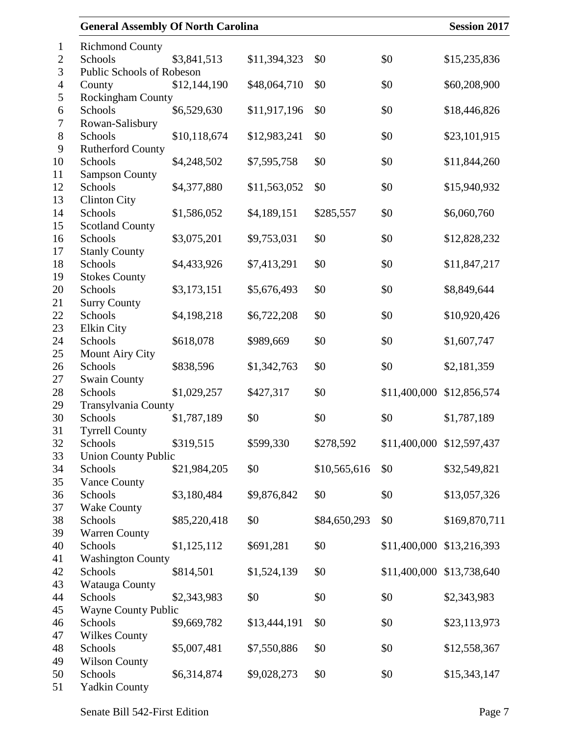| <b>General Assembly Of North Carolina</b> |              |              |              |              | <b>Session 2017</b>       |
|-------------------------------------------|--------------|--------------|--------------|--------------|---------------------------|
| <b>Richmond County</b>                    |              |              |              |              |                           |
| Schools                                   | \$3,841,513  | \$11,394,323 | \$0          | \$0          | \$15,235,836              |
| Public Schools of Robeson                 |              |              |              |              |                           |
| County                                    | \$12,144,190 | \$48,064,710 | \$0          | \$0          | \$60,208,900              |
| Rockingham County                         |              |              |              |              |                           |
| Schools                                   | \$6,529,630  | \$11,917,196 | \$0          | \$0          | \$18,446,826              |
| Rowan-Salisbury                           |              |              |              |              |                           |
| Schools                                   | \$10,118,674 | \$12,983,241 | \$0          | \$0          | \$23,101,915              |
| Rutherford County                         |              |              |              |              |                           |
| Schools                                   | \$4,248,502  | \$7,595,758  | \$0          | \$0          | \$11,844,260              |
| <b>Sampson County</b><br>Schools          | \$4,377,880  |              | \$0          | \$0          |                           |
|                                           |              | \$11,563,052 |              |              | \$15,940,932              |
| <b>Clinton City</b><br>Schools            | \$1,586,052  | \$4,189,151  | \$285,557    | \$0          | \$6,060,760               |
| <b>Scotland County</b>                    |              |              |              |              |                           |
| Schools                                   | \$3,075,201  | \$9,753,031  | \$0          | \$0          | \$12,828,232              |
| <b>Stanly County</b>                      |              |              |              |              |                           |
| Schools                                   | \$4,433,926  | \$7,413,291  | \$0          | \$0          | \$11,847,217              |
| <b>Stokes County</b>                      |              |              |              |              |                           |
| Schools                                   | \$3,173,151  | \$5,676,493  | \$0          | \$0          | \$8,849,644               |
| <b>Surry County</b>                       |              |              |              |              |                           |
| Schools                                   | \$4,198,218  | \$6,722,208  | \$0          | \$0          | \$10,920,426              |
| <b>Elkin City</b>                         |              |              |              |              |                           |
| Schools                                   | \$618,078    | \$989,669    | \$0          | \$0          | \$1,607,747               |
| <b>Mount Airy City</b>                    |              |              |              |              |                           |
| Schools                                   | \$838,596    | \$1,342,763  | \$0          | \$0          | \$2,181,359               |
| <b>Swain County</b>                       |              |              |              |              |                           |
| Schools                                   | \$1,029,257  | \$427,317    | \$0          | \$11,400,000 | \$12,856,574              |
| Transylvania County                       |              |              |              |              |                           |
| Schools                                   | \$1,787,189  | \$0          | \$0          | \$0          | \$1,787,189               |
| <b>Tyrrell County</b>                     |              |              |              |              |                           |
| Schools                                   | \$319,515    | \$599,330    | \$278,592    |              | \$11,400,000 \$12,597,437 |
| <b>Union County Public</b>                |              |              |              |              |                           |
| Schools                                   | \$21,984,205 | \$0          | \$10,565,616 | \$0          | \$32,549,821              |
| <b>Vance County</b>                       |              |              |              |              |                           |
| Schools                                   | \$3,180,484  | \$9,876,842  | \$0          | \$0          | \$13,057,326              |
| <b>Wake County</b>                        |              |              |              |              |                           |
| Schools                                   | \$85,220,418 | \$0          | \$84,650,293 | \$0          | \$169,870,711             |
| <b>Warren County</b>                      |              |              |              |              |                           |
| Schools                                   | \$1,125,112  | \$691,281    | \$0          |              | \$11,400,000 \$13,216,393 |
| <b>Washington County</b>                  |              |              |              |              |                           |
| Schools                                   | \$814,501    | \$1,524,139  | \$0          |              | \$11,400,000 \$13,738,640 |
| Watauga County                            |              |              |              |              |                           |
| Schools                                   | \$2,343,983  | \$0          | \$0          | \$0          | \$2,343,983               |
| <b>Wayne County Public</b>                |              |              |              |              |                           |
| Schools                                   | \$9,669,782  | \$13,444,191 | \$0          | \$0          | \$23,113,973              |
| <b>Wilkes County</b>                      |              |              |              |              |                           |
| Schools                                   | \$5,007,481  | \$7,550,886  | \$0          | \$0          | \$12,558,367              |
| <b>Wilson County</b><br>Schools           | \$6,314,874  | \$9,028,273  | \$0          | \$0          | \$15,343,147              |
| <b>Yadkin County</b>                      |              |              |              |              |                           |
|                                           |              |              |              |              |                           |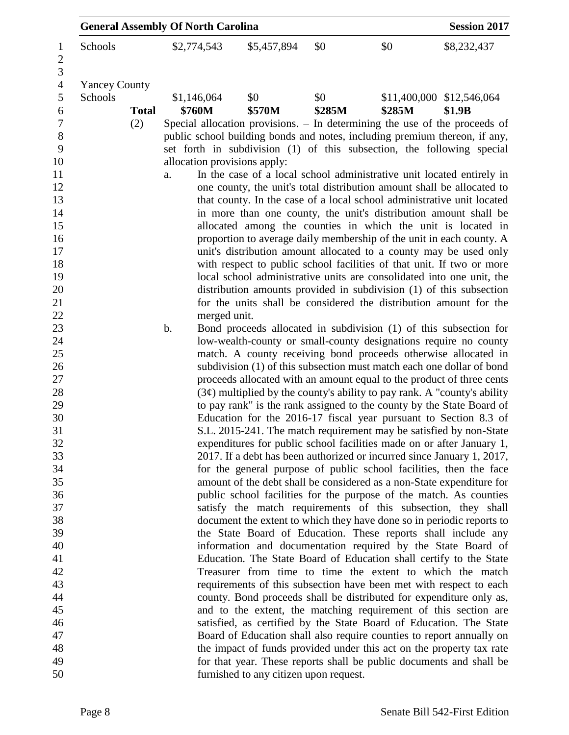|                      |              | <b>General Assembly Of North Carolina</b> |                                        |        |        | <b>Session 2017</b>                                                                                                                                  |
|----------------------|--------------|-------------------------------------------|----------------------------------------|--------|--------|------------------------------------------------------------------------------------------------------------------------------------------------------|
| Schools              |              | \$2,774,543                               | \$5,457,894                            | \$0    | \$0    | \$8,232,437                                                                                                                                          |
| <b>Yancey County</b> |              |                                           |                                        |        |        |                                                                                                                                                      |
| Schools              |              | \$1,146,064                               | \$0                                    | \$0    |        | \$11,400,000 \$12,546,064                                                                                                                            |
|                      | <b>Total</b> | \$760M                                    | \$570M                                 | \$285M | \$285M | \$1.9B                                                                                                                                               |
|                      | (2)          |                                           |                                        |        |        | Special allocation provisions. – In determining the use of the proceeds of                                                                           |
|                      |              |                                           |                                        |        |        | public school building bonds and notes, including premium thereon, if any,<br>set forth in subdivision (1) of this subsection, the following special |
|                      |              | allocation provisions apply:              |                                        |        |        |                                                                                                                                                      |
|                      |              | a.                                        |                                        |        |        | In the case of a local school administrative unit located entirely in                                                                                |
|                      |              |                                           |                                        |        |        | one county, the unit's total distribution amount shall be allocated to<br>that county. In the case of a local school administrative unit located     |
|                      |              |                                           |                                        |        |        | in more than one county, the unit's distribution amount shall be                                                                                     |
|                      |              |                                           |                                        |        |        | allocated among the counties in which the unit is located in                                                                                         |
|                      |              |                                           |                                        |        |        | proportion to average daily membership of the unit in each county. A                                                                                 |
|                      |              |                                           |                                        |        |        | unit's distribution amount allocated to a county may be used only                                                                                    |
|                      |              |                                           |                                        |        |        | with respect to public school facilities of that unit. If two or more                                                                                |
|                      |              |                                           |                                        |        |        | local school administrative units are consolidated into one unit, the                                                                                |
|                      |              |                                           |                                        |        |        | distribution amounts provided in subdivision (1) of this subsection                                                                                  |
|                      |              |                                           |                                        |        |        | for the units shall be considered the distribution amount for the                                                                                    |
|                      |              | merged unit.                              |                                        |        |        |                                                                                                                                                      |
|                      |              | b.                                        |                                        |        |        | Bond proceeds allocated in subdivision (1) of this subsection for                                                                                    |
|                      |              |                                           |                                        |        |        | low-wealth-county or small-county designations require no county                                                                                     |
|                      |              |                                           |                                        |        |        | match. A county receiving bond proceeds otherwise allocated in                                                                                       |
|                      |              |                                           |                                        |        |        | subdivision (1) of this subsection must match each one dollar of bond                                                                                |
|                      |              |                                           |                                        |        |        | proceeds allocated with an amount equal to the product of three cents                                                                                |
|                      |              |                                           |                                        |        |        | $(3\phi)$ multiplied by the county's ability to pay rank. A "county's ability                                                                        |
|                      |              |                                           |                                        |        |        | to pay rank" is the rank assigned to the county by the State Board of                                                                                |
|                      |              |                                           |                                        |        |        | Education for the 2016-17 fiscal year pursuant to Section 8.3 of                                                                                     |
|                      |              |                                           |                                        |        |        | S.L. 2015-241. The match requirement may be satisfied by non-State                                                                                   |
|                      |              |                                           |                                        |        |        | expenditures for public school facilities made on or after January 1,                                                                                |
|                      |              |                                           |                                        |        |        | 2017. If a debt has been authorized or incurred since January 1, 2017,                                                                               |
|                      |              |                                           |                                        |        |        | for the general purpose of public school facilities, then the face<br>amount of the debt shall be considered as a non-State expenditure for          |
|                      |              |                                           |                                        |        |        | public school facilities for the purpose of the match. As counties                                                                                   |
|                      |              |                                           |                                        |        |        | satisfy the match requirements of this subsection, they shall                                                                                        |
|                      |              |                                           |                                        |        |        | document the extent to which they have done so in periodic reports to                                                                                |
|                      |              |                                           |                                        |        |        | the State Board of Education. These reports shall include any                                                                                        |
|                      |              |                                           |                                        |        |        | information and documentation required by the State Board of                                                                                         |
|                      |              |                                           |                                        |        |        | Education. The State Board of Education shall certify to the State                                                                                   |
|                      |              |                                           |                                        |        |        | Treasurer from time to time the extent to which the match                                                                                            |
|                      |              |                                           |                                        |        |        | requirements of this subsection have been met with respect to each                                                                                   |
|                      |              |                                           |                                        |        |        | county. Bond proceeds shall be distributed for expenditure only as,                                                                                  |
|                      |              |                                           |                                        |        |        | and to the extent, the matching requirement of this section are                                                                                      |
|                      |              |                                           |                                        |        |        | satisfied, as certified by the State Board of Education. The State                                                                                   |
|                      |              |                                           |                                        |        |        | Board of Education shall also require counties to report annually on                                                                                 |
|                      |              |                                           |                                        |        |        | the impact of funds provided under this act on the property tax rate                                                                                 |
|                      |              |                                           |                                        |        |        | for that year. These reports shall be public documents and shall be                                                                                  |
|                      |              |                                           | furnished to any citizen upon request. |        |        |                                                                                                                                                      |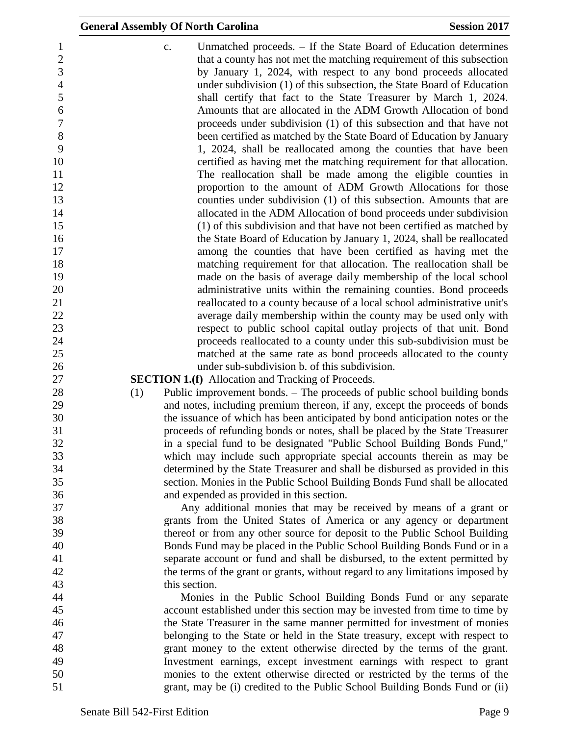|                          | <b>General Assembly Of North Carolina</b>                                                                                                                     | <b>Session 2017</b>                                                                                                                                                                                          |
|--------------------------|---------------------------------------------------------------------------------------------------------------------------------------------------------------|--------------------------------------------------------------------------------------------------------------------------------------------------------------------------------------------------------------|
| 1<br>$\overline{c}$<br>3 | c.                                                                                                                                                            | Unmatched proceeds. – If the State Board of Education determines<br>that a county has not met the matching requirement of this subsection<br>by January 1, 2024, with respect to any bond proceeds allocated |
| $\overline{4}$<br>5      |                                                                                                                                                               | under subdivision (1) of this subsection, the State Board of Education<br>shall certify that fact to the State Treasurer by March 1, 2024.                                                                   |
| 6                        |                                                                                                                                                               | Amounts that are allocated in the ADM Growth Allocation of bond                                                                                                                                              |
| $\overline{7}$           |                                                                                                                                                               | proceeds under subdivision (1) of this subsection and that have not                                                                                                                                          |
| 8                        |                                                                                                                                                               | been certified as matched by the State Board of Education by January                                                                                                                                         |
| 9<br>10                  |                                                                                                                                                               | 1, 2024, shall be reallocated among the counties that have been<br>certified as having met the matching requirement for that allocation.                                                                     |
| 11<br>12                 |                                                                                                                                                               | The reallocation shall be made among the eligible counties in<br>proportion to the amount of ADM Growth Allocations for those                                                                                |
| 13                       |                                                                                                                                                               | counties under subdivision (1) of this subsection. Amounts that are                                                                                                                                          |
| 14                       |                                                                                                                                                               | allocated in the ADM Allocation of bond proceeds under subdivision                                                                                                                                           |
| 15                       |                                                                                                                                                               | (1) of this subdivision and that have not been certified as matched by                                                                                                                                       |
| 16                       |                                                                                                                                                               | the State Board of Education by January 1, 2024, shall be reallocated                                                                                                                                        |
| 17                       |                                                                                                                                                               | among the counties that have been certified as having met the                                                                                                                                                |
| 18                       |                                                                                                                                                               | matching requirement for that allocation. The reallocation shall be                                                                                                                                          |
| 19                       |                                                                                                                                                               | made on the basis of average daily membership of the local school                                                                                                                                            |
| 20                       |                                                                                                                                                               | administrative units within the remaining counties. Bond proceeds                                                                                                                                            |
| 21                       |                                                                                                                                                               | reallocated to a county because of a local school administrative unit's                                                                                                                                      |
| 22                       |                                                                                                                                                               | average daily membership within the county may be used only with                                                                                                                                             |
| 23                       |                                                                                                                                                               | respect to public school capital outlay projects of that unit. Bond                                                                                                                                          |
| 24                       |                                                                                                                                                               | proceeds reallocated to a county under this sub-subdivision must be                                                                                                                                          |
| 25                       | under sub-subdivision b. of this subdivision.                                                                                                                 | matched at the same rate as bond proceeds allocated to the county                                                                                                                                            |
| 26<br>27                 | <b>SECTION 1.(f)</b> Allocation and Tracking of Proceeds. –                                                                                                   |                                                                                                                                                                                                              |
| 28                       | Public improvement bonds. – The proceeds of public school building bonds<br>(1)                                                                               |                                                                                                                                                                                                              |
| 29                       | and notes, including premium thereon, if any, except the proceeds of bonds                                                                                    |                                                                                                                                                                                                              |
| 30                       | the issuance of which has been anticipated by bond anticipation notes or the                                                                                  |                                                                                                                                                                                                              |
| 31                       | proceeds of refunding bonds or notes, shall be placed by the State Treasurer                                                                                  |                                                                                                                                                                                                              |
| 32                       | in a special fund to be designated "Public School Building Bonds Fund,"                                                                                       |                                                                                                                                                                                                              |
| 33                       | which may include such appropriate special accounts therein as may be                                                                                         |                                                                                                                                                                                                              |
| 34                       | determined by the State Treasurer and shall be disbursed as provided in this                                                                                  |                                                                                                                                                                                                              |
| 35                       | section. Monies in the Public School Building Bonds Fund shall be allocated                                                                                   |                                                                                                                                                                                                              |
| 36                       | and expended as provided in this section.                                                                                                                     |                                                                                                                                                                                                              |
| 37                       | Any additional monies that may be received by means of a grant or                                                                                             |                                                                                                                                                                                                              |
| 38                       | grants from the United States of America or any agency or department                                                                                          |                                                                                                                                                                                                              |
| 39                       | thereof or from any other source for deposit to the Public School Building                                                                                    |                                                                                                                                                                                                              |
| 40<br>41                 | Bonds Fund may be placed in the Public School Building Bonds Fund or in a                                                                                     |                                                                                                                                                                                                              |
| 42                       | separate account or fund and shall be disbursed, to the extent permitted by<br>the terms of the grant or grants, without regard to any limitations imposed by |                                                                                                                                                                                                              |
| 43                       | this section.                                                                                                                                                 |                                                                                                                                                                                                              |
| 44                       | Monies in the Public School Building Bonds Fund or any separate                                                                                               |                                                                                                                                                                                                              |
| 45                       | account established under this section may be invested from time to time by                                                                                   |                                                                                                                                                                                                              |
| 46                       | the State Treasurer in the same manner permitted for investment of monies                                                                                     |                                                                                                                                                                                                              |
| 47                       | belonging to the State or held in the State treasury, except with respect to                                                                                  |                                                                                                                                                                                                              |
| 48                       | grant money to the extent otherwise directed by the terms of the grant.                                                                                       |                                                                                                                                                                                                              |
| 49                       | Investment earnings, except investment earnings with respect to grant                                                                                         |                                                                                                                                                                                                              |
| 50                       | monies to the extent otherwise directed or restricted by the terms of the                                                                                     |                                                                                                                                                                                                              |
| 51                       | grant, may be (i) credited to the Public School Building Bonds Fund or (ii)                                                                                   |                                                                                                                                                                                                              |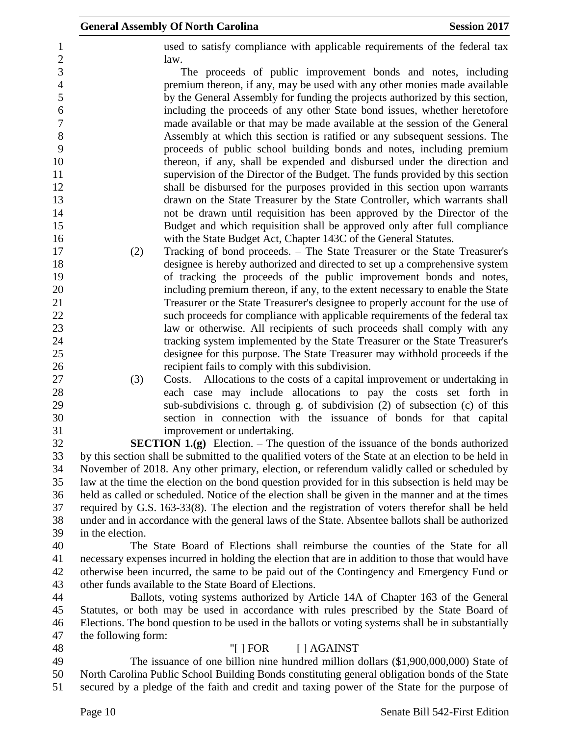|                     | <b>General Assembly Of North Carolina</b>                                                                                                                                                                                  | <b>Session 2017</b> |
|---------------------|----------------------------------------------------------------------------------------------------------------------------------------------------------------------------------------------------------------------------|---------------------|
|                     | used to satisfy compliance with applicable requirements of the federal tax<br>law.                                                                                                                                         |                     |
|                     | The proceeds of public improvement bonds and notes, including<br>premium thereon, if any, may be used with any other monies made available<br>by the General Assembly for funding the projects authorized by this section, |                     |
|                     | including the proceeds of any other State bond issues, whether heretofore<br>made available or that may be made available at the session of the General                                                                    |                     |
|                     | Assembly at which this section is ratified or any subsequent sessions. The<br>proceeds of public school building bonds and notes, including premium                                                                        |                     |
|                     | thereon, if any, shall be expended and disbursed under the direction and                                                                                                                                                   |                     |
|                     | supervision of the Director of the Budget. The funds provided by this section<br>shall be disbursed for the purposes provided in this section upon warrants                                                                |                     |
|                     | drawn on the State Treasurer by the State Controller, which warrants shall                                                                                                                                                 |                     |
|                     | not be drawn until requisition has been approved by the Director of the                                                                                                                                                    |                     |
|                     | Budget and which requisition shall be approved only after full compliance                                                                                                                                                  |                     |
|                     | with the State Budget Act, Chapter 143C of the General Statutes.                                                                                                                                                           |                     |
| (2)                 | Tracking of bond proceeds. – The State Treasurer or the State Treasurer's<br>designee is hereby authorized and directed to set up a comprehensive system                                                                   |                     |
|                     | of tracking the proceeds of the public improvement bonds and notes,                                                                                                                                                        |                     |
|                     | including premium thereon, if any, to the extent necessary to enable the State                                                                                                                                             |                     |
|                     | Treasurer or the State Treasurer's designee to properly account for the use of                                                                                                                                             |                     |
|                     | such proceeds for compliance with applicable requirements of the federal tax                                                                                                                                               |                     |
|                     | law or otherwise. All recipients of such proceeds shall comply with any                                                                                                                                                    |                     |
|                     | tracking system implemented by the State Treasurer or the State Treasurer's                                                                                                                                                |                     |
|                     | designee for this purpose. The State Treasurer may withhold proceeds if the                                                                                                                                                |                     |
| (3)                 | recipient fails to comply with this subdivision.<br>Costs. – Allocations to the costs of a capital improvement or undertaking in                                                                                           |                     |
|                     | each case may include allocations to pay the costs set forth in                                                                                                                                                            |                     |
|                     | sub-subdivisions c. through g. of subdivision (2) of subsection (c) of this                                                                                                                                                |                     |
|                     | section in connection with the issuance of bonds for that capital                                                                                                                                                          |                     |
|                     | improvement or undertaking.                                                                                                                                                                                                |                     |
|                     | <b>SECTION 1.(g)</b> Election. – The question of the issuance of the bonds authorized                                                                                                                                      |                     |
|                     | by this section shall be submitted to the qualified voters of the State at an election to be held in                                                                                                                       |                     |
|                     | November of 2018. Any other primary, election, or referendum validly called or scheduled by<br>law at the time the election on the bond question provided for in this subsection is held may be                            |                     |
|                     | held as called or scheduled. Notice of the election shall be given in the manner and at the times                                                                                                                          |                     |
|                     | required by G.S. 163-33(8). The election and the registration of voters therefor shall be held                                                                                                                             |                     |
|                     | under and in accordance with the general laws of the State. Absentee ballots shall be authorized                                                                                                                           |                     |
| in the election.    |                                                                                                                                                                                                                            |                     |
|                     | The State Board of Elections shall reimburse the counties of the State for all                                                                                                                                             |                     |
|                     | necessary expenses incurred in holding the election that are in addition to those that would have                                                                                                                          |                     |
|                     | otherwise been incurred, the same to be paid out of the Contingency and Emergency Fund or<br>other funds available to the State Board of Elections.                                                                        |                     |
|                     | Ballots, voting systems authorized by Article 14A of Chapter 163 of the General                                                                                                                                            |                     |
|                     | Statutes, or both may be used in accordance with rules prescribed by the State Board of                                                                                                                                    |                     |
|                     | Elections. The bond question to be used in the ballots or voting systems shall be in substantially                                                                                                                         |                     |
| the following form: |                                                                                                                                                                                                                            |                     |
|                     | "[ $\vert$ FOR<br>$[$ $]$ AGAINST                                                                                                                                                                                          |                     |

 The issuance of one billion nine hundred million dollars (\$1,900,000,000) State of North Carolina Public School Building Bonds constituting general obligation bonds of the State secured by a pledge of the faith and credit and taxing power of the State for the purpose of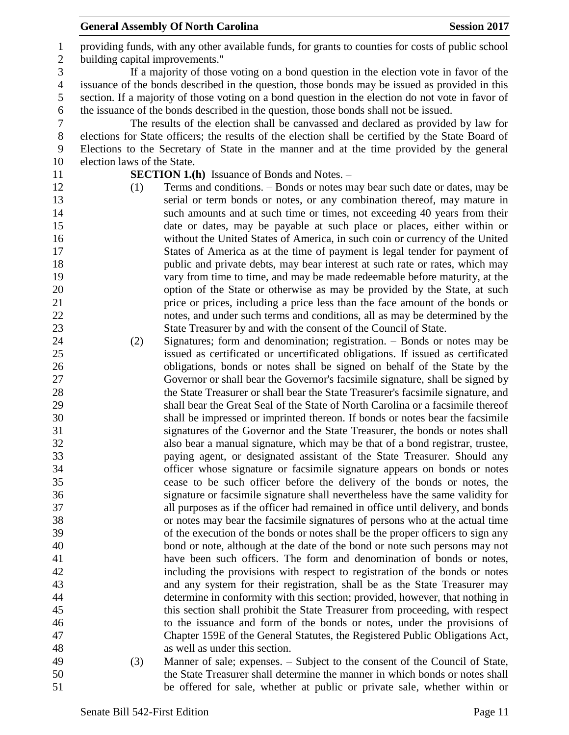providing funds, with any other available funds, for grants to counties for costs of public school building capital improvements." If a majority of those voting on a bond question in the election vote in favor of the issuance of the bonds described in the question, those bonds may be issued as provided in this section. If a majority of those voting on a bond question in the election do not vote in favor of the issuance of the bonds described in the question, those bonds shall not be issued. The results of the election shall be canvassed and declared as provided by law for elections for State officers; the results of the election shall be certified by the State Board of Elections to the Secretary of State in the manner and at the time provided by the general election laws of the State. **SECTION 1.(h)** Issuance of Bonds and Notes. – (1) Terms and conditions. – Bonds or notes may bear such date or dates, may be serial or term bonds or notes, or any combination thereof, may mature in 14 such amounts and at such time or times, not exceeding 40 years from their date or dates, may be payable at such place or places, either within or without the United States of America, in such coin or currency of the United States of America as at the time of payment is legal tender for payment of **public and private debts, may bear interest at such rate or rates, which may**  vary from time to time, and may be made redeemable before maturity, at the option of the State or otherwise as may be provided by the State, at such price or prices, including a price less than the face amount of the bonds or notes, and under such terms and conditions, all as may be determined by the State Treasurer by and with the consent of the Council of State. (2) Signatures; form and denomination; registration. – Bonds or notes may be issued as certificated or uncertificated obligations. If issued as certificated obligations, bonds or notes shall be signed on behalf of the State by the Governor or shall bear the Governor's facsimile signature, shall be signed by the State Treasurer or shall bear the State Treasurer's facsimile signature, and shall bear the Great Seal of the State of North Carolina or a facsimile thereof shall be impressed or imprinted thereon. If bonds or notes bear the facsimile signatures of the Governor and the State Treasurer, the bonds or notes shall also bear a manual signature, which may be that of a bond registrar, trustee, paying agent, or designated assistant of the State Treasurer. Should any officer whose signature or facsimile signature appears on bonds or notes cease to be such officer before the delivery of the bonds or notes, the signature or facsimile signature shall nevertheless have the same validity for all purposes as if the officer had remained in office until delivery, and bonds or notes may bear the facsimile signatures of persons who at the actual time of the execution of the bonds or notes shall be the proper officers to sign any bond or note, although at the date of the bond or note such persons may not have been such officers. The form and denomination of bonds or notes, including the provisions with respect to registration of the bonds or notes and any system for their registration, shall be as the State Treasurer may determine in conformity with this section; provided, however, that nothing in this section shall prohibit the State Treasurer from proceeding, with respect to the issuance and form of the bonds or notes, under the provisions of Chapter 159E of the General Statutes, the Registered Public Obligations Act, as well as under this section. (3) Manner of sale; expenses. – Subject to the consent of the Council of State, the State Treasurer shall determine the manner in which bonds or notes shall be offered for sale, whether at public or private sale, whether within or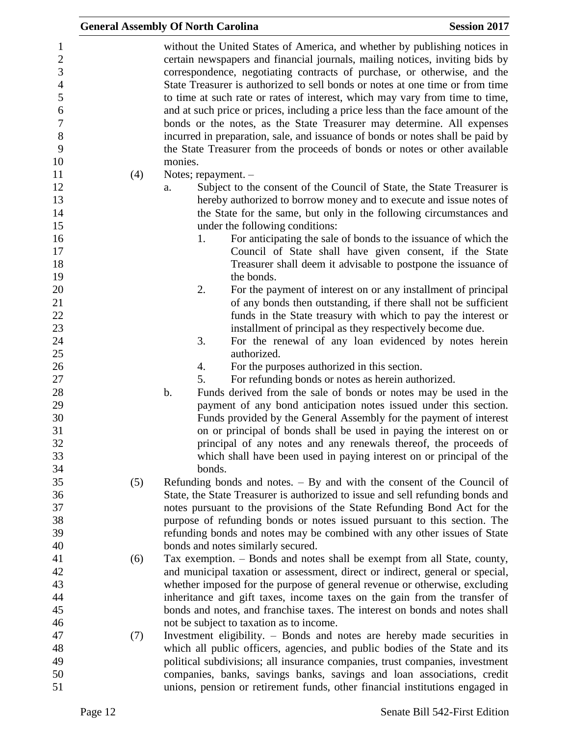|     | <b>General Assembly Of North Carolina</b>                                                                                                                                                                                                                                                                                                                                                                                                                                                                                                                                                                                                                                                                                                       | <b>Session 2017</b> |
|-----|-------------------------------------------------------------------------------------------------------------------------------------------------------------------------------------------------------------------------------------------------------------------------------------------------------------------------------------------------------------------------------------------------------------------------------------------------------------------------------------------------------------------------------------------------------------------------------------------------------------------------------------------------------------------------------------------------------------------------------------------------|---------------------|
|     | without the United States of America, and whether by publishing notices in<br>certain newspapers and financial journals, mailing notices, inviting bids by<br>correspondence, negotiating contracts of purchase, or otherwise, and the<br>State Treasurer is authorized to sell bonds or notes at one time or from time<br>to time at such rate or rates of interest, which may vary from time to time,<br>and at such price or prices, including a price less than the face amount of the<br>bonds or the notes, as the State Treasurer may determine. All expenses<br>incurred in preparation, sale, and issuance of bonds or notes shall be paid by<br>the State Treasurer from the proceeds of bonds or notes or other available<br>monies. |                     |
| (4) | Notes; repayment. -                                                                                                                                                                                                                                                                                                                                                                                                                                                                                                                                                                                                                                                                                                                             |                     |
|     | Subject to the consent of the Council of State, the State Treasurer is<br>a.<br>hereby authorized to borrow money and to execute and issue notes of<br>the State for the same, but only in the following circumstances and<br>under the following conditions:                                                                                                                                                                                                                                                                                                                                                                                                                                                                                   |                     |
|     | For anticipating the sale of bonds to the issuance of which the<br>1.<br>Council of State shall have given consent, if the State<br>Treasurer shall deem it advisable to postpone the issuance of<br>the bonds.                                                                                                                                                                                                                                                                                                                                                                                                                                                                                                                                 |                     |
|     | 2.<br>For the payment of interest on or any installment of principal<br>of any bonds then outstanding, if there shall not be sufficient<br>funds in the State treasury with which to pay the interest or<br>installment of principal as they respectively become due.                                                                                                                                                                                                                                                                                                                                                                                                                                                                           |                     |
|     | 3.<br>For the renewal of any loan evidenced by notes herein<br>authorized.                                                                                                                                                                                                                                                                                                                                                                                                                                                                                                                                                                                                                                                                      |                     |
|     | For the purposes authorized in this section.<br>4.                                                                                                                                                                                                                                                                                                                                                                                                                                                                                                                                                                                                                                                                                              |                     |
|     | 5.<br>For refunding bonds or notes as herein authorized.                                                                                                                                                                                                                                                                                                                                                                                                                                                                                                                                                                                                                                                                                        |                     |
|     | Funds derived from the sale of bonds or notes may be used in the<br>b.                                                                                                                                                                                                                                                                                                                                                                                                                                                                                                                                                                                                                                                                          |                     |
|     | payment of any bond anticipation notes issued under this section.<br>Funds provided by the General Assembly for the payment of interest                                                                                                                                                                                                                                                                                                                                                                                                                                                                                                                                                                                                         |                     |
|     | on or principal of bonds shall be used in paying the interest on or                                                                                                                                                                                                                                                                                                                                                                                                                                                                                                                                                                                                                                                                             |                     |
|     | principal of any notes and any renewals thereof, the proceeds of                                                                                                                                                                                                                                                                                                                                                                                                                                                                                                                                                                                                                                                                                |                     |
|     | which shall have been used in paying interest on or principal of the                                                                                                                                                                                                                                                                                                                                                                                                                                                                                                                                                                                                                                                                            |                     |
|     | bonds.                                                                                                                                                                                                                                                                                                                                                                                                                                                                                                                                                                                                                                                                                                                                          |                     |
| (5) | Refunding bonds and notes. $-$ By and with the consent of the Council of                                                                                                                                                                                                                                                                                                                                                                                                                                                                                                                                                                                                                                                                        |                     |
|     | State, the State Treasurer is authorized to issue and sell refunding bonds and                                                                                                                                                                                                                                                                                                                                                                                                                                                                                                                                                                                                                                                                  |                     |
|     | notes pursuant to the provisions of the State Refunding Bond Act for the                                                                                                                                                                                                                                                                                                                                                                                                                                                                                                                                                                                                                                                                        |                     |
|     | purpose of refunding bonds or notes issued pursuant to this section. The<br>refunding bonds and notes may be combined with any other issues of State                                                                                                                                                                                                                                                                                                                                                                                                                                                                                                                                                                                            |                     |
|     | bonds and notes similarly secured.                                                                                                                                                                                                                                                                                                                                                                                                                                                                                                                                                                                                                                                                                                              |                     |
| (6) | Tax exemption. – Bonds and notes shall be exempt from all State, county,                                                                                                                                                                                                                                                                                                                                                                                                                                                                                                                                                                                                                                                                        |                     |
|     | and municipal taxation or assessment, direct or indirect, general or special,                                                                                                                                                                                                                                                                                                                                                                                                                                                                                                                                                                                                                                                                   |                     |
|     | whether imposed for the purpose of general revenue or otherwise, excluding                                                                                                                                                                                                                                                                                                                                                                                                                                                                                                                                                                                                                                                                      |                     |
|     | inheritance and gift taxes, income taxes on the gain from the transfer of                                                                                                                                                                                                                                                                                                                                                                                                                                                                                                                                                                                                                                                                       |                     |
|     | bonds and notes, and franchise taxes. The interest on bonds and notes shall                                                                                                                                                                                                                                                                                                                                                                                                                                                                                                                                                                                                                                                                     |                     |
|     | not be subject to taxation as to income.                                                                                                                                                                                                                                                                                                                                                                                                                                                                                                                                                                                                                                                                                                        |                     |
| (7) | Investment eligibility. - Bonds and notes are hereby made securities in                                                                                                                                                                                                                                                                                                                                                                                                                                                                                                                                                                                                                                                                         |                     |
|     | which all public officers, agencies, and public bodies of the State and its                                                                                                                                                                                                                                                                                                                                                                                                                                                                                                                                                                                                                                                                     |                     |
|     | political subdivisions; all insurance companies, trust companies, investment<br>companies, banks, savings banks, savings and loan associations, credit                                                                                                                                                                                                                                                                                                                                                                                                                                                                                                                                                                                          |                     |
|     | unions, pension or retirement funds, other financial institutions engaged in                                                                                                                                                                                                                                                                                                                                                                                                                                                                                                                                                                                                                                                                    |                     |
|     |                                                                                                                                                                                                                                                                                                                                                                                                                                                                                                                                                                                                                                                                                                                                                 |                     |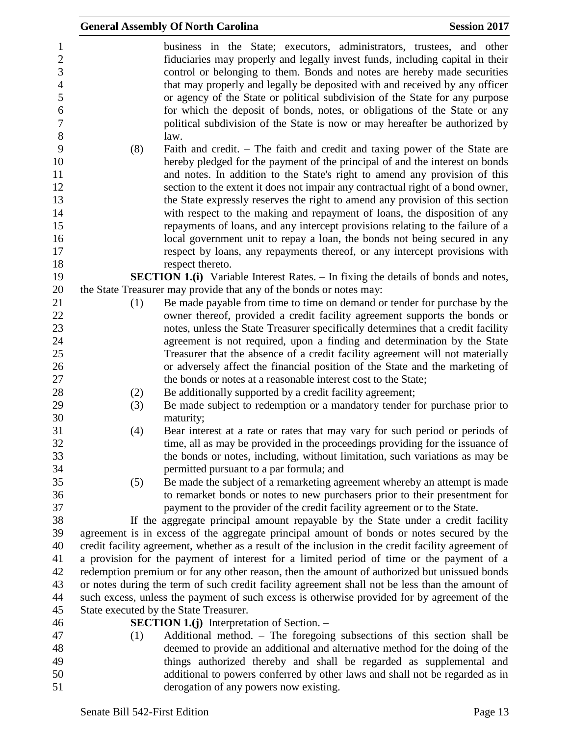|                                                                        |     | <b>General Assembly Of North Carolina</b>                                                                                                                                                                                                                                                                                                                                                                                                                                                                                                                     | <b>Session 2017</b> |
|------------------------------------------------------------------------|-----|---------------------------------------------------------------------------------------------------------------------------------------------------------------------------------------------------------------------------------------------------------------------------------------------------------------------------------------------------------------------------------------------------------------------------------------------------------------------------------------------------------------------------------------------------------------|---------------------|
| 1<br>$\overline{c}$<br>3<br>$\overline{4}$<br>5<br>6<br>$\overline{7}$ |     | business in the State; executors, administrators, trustees, and other<br>fiduciaries may properly and legally invest funds, including capital in their<br>control or belonging to them. Bonds and notes are hereby made securities<br>that may properly and legally be deposited with and received by any officer<br>or agency of the State or political subdivision of the State for any purpose<br>for which the deposit of bonds, notes, or obligations of the State or any<br>political subdivision of the State is now or may hereafter be authorized by |                     |
| $8\,$<br>9<br>10<br>11<br>12<br>13<br>14                               | (8) | law.<br>Faith and credit. – The faith and credit and taxing power of the State are<br>hereby pledged for the payment of the principal of and the interest on bonds<br>and notes. In addition to the State's right to amend any provision of this<br>section to the extent it does not impair any contractual right of a bond owner,<br>the State expressly reserves the right to amend any provision of this section<br>with respect to the making and repayment of loans, the disposition of any                                                             |                     |
| 15<br>16<br>17<br>18                                                   |     | repayments of loans, and any intercept provisions relating to the failure of a<br>local government unit to repay a loan, the bonds not being secured in any<br>respect by loans, any repayments thereof, or any intercept provisions with<br>respect thereto.                                                                                                                                                                                                                                                                                                 |                     |
| 19                                                                     |     | <b>SECTION 1.(i)</b> Variable Interest Rates. – In fixing the details of bonds and notes,                                                                                                                                                                                                                                                                                                                                                                                                                                                                     |                     |
| 20                                                                     |     | the State Treasurer may provide that any of the bonds or notes may:                                                                                                                                                                                                                                                                                                                                                                                                                                                                                           |                     |
| 21<br>22<br>23<br>24<br>25                                             | (1) | Be made payable from time to time on demand or tender for purchase by the<br>owner thereof, provided a credit facility agreement supports the bonds or<br>notes, unless the State Treasurer specifically determines that a credit facility<br>agreement is not required, upon a finding and determination by the State<br>Treasurer that the absence of a credit facility agreement will not materially                                                                                                                                                       |                     |
| 26<br>27                                                               |     | or adversely affect the financial position of the State and the marketing of<br>the bonds or notes at a reasonable interest cost to the State;                                                                                                                                                                                                                                                                                                                                                                                                                |                     |
| 28                                                                     | (2) | Be additionally supported by a credit facility agreement;                                                                                                                                                                                                                                                                                                                                                                                                                                                                                                     |                     |
| 29<br>30                                                               | (3) | Be made subject to redemption or a mandatory tender for purchase prior to<br>maturity;                                                                                                                                                                                                                                                                                                                                                                                                                                                                        |                     |
| 31<br>32<br>33<br>34                                                   | (4) | Bear interest at a rate or rates that may vary for such period or periods of<br>time, all as may be provided in the proceedings providing for the issuance of<br>the bonds or notes, including, without limitation, such variations as may be<br>permitted pursuant to a par formula; and                                                                                                                                                                                                                                                                     |                     |
| 35<br>36<br>37                                                         | (5) | Be made the subject of a remarketing agreement whereby an attempt is made<br>to remarket bonds or notes to new purchasers prior to their presentment for<br>payment to the provider of the credit facility agreement or to the State.                                                                                                                                                                                                                                                                                                                         |                     |
| 38                                                                     |     | If the aggregate principal amount repayable by the State under a credit facility                                                                                                                                                                                                                                                                                                                                                                                                                                                                              |                     |
| 39                                                                     |     | agreement is in excess of the aggregate principal amount of bonds or notes secured by the                                                                                                                                                                                                                                                                                                                                                                                                                                                                     |                     |
| 40                                                                     |     | credit facility agreement, whether as a result of the inclusion in the credit facility agreement of                                                                                                                                                                                                                                                                                                                                                                                                                                                           |                     |
| 41                                                                     |     | a provision for the payment of interest for a limited period of time or the payment of a                                                                                                                                                                                                                                                                                                                                                                                                                                                                      |                     |
| 42<br>43                                                               |     | redemption premium or for any other reason, then the amount of authorized but unissued bonds<br>or notes during the term of such credit facility agreement shall not be less than the amount of                                                                                                                                                                                                                                                                                                                                                               |                     |
| 44                                                                     |     | such excess, unless the payment of such excess is otherwise provided for by agreement of the                                                                                                                                                                                                                                                                                                                                                                                                                                                                  |                     |
| 45                                                                     |     | State executed by the State Treasurer.                                                                                                                                                                                                                                                                                                                                                                                                                                                                                                                        |                     |
| 46                                                                     |     | <b>SECTION 1.(j)</b> Interpretation of Section. $-$                                                                                                                                                                                                                                                                                                                                                                                                                                                                                                           |                     |
| 47                                                                     | (1) | Additional method. - The foregoing subsections of this section shall be                                                                                                                                                                                                                                                                                                                                                                                                                                                                                       |                     |
| 48                                                                     |     | deemed to provide an additional and alternative method for the doing of the                                                                                                                                                                                                                                                                                                                                                                                                                                                                                   |                     |
| 49                                                                     |     | things authorized thereby and shall be regarded as supplemental and                                                                                                                                                                                                                                                                                                                                                                                                                                                                                           |                     |
| 50<br>51                                                               |     | additional to powers conferred by other laws and shall not be regarded as in<br>derogation of any powers now existing.                                                                                                                                                                                                                                                                                                                                                                                                                                        |                     |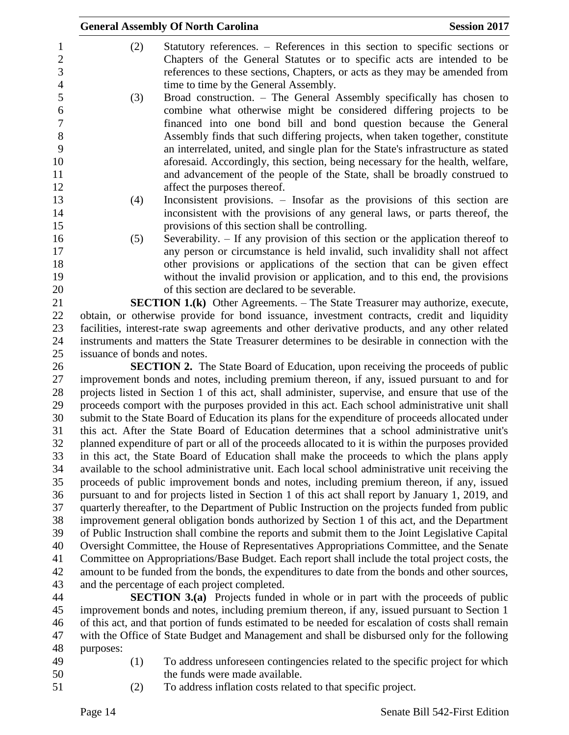| <b>Session 2017</b><br><b>General Assembly Of North Carolina</b> |                                                                                                |                                                                                                                                                                                                                                      |
|------------------------------------------------------------------|------------------------------------------------------------------------------------------------|--------------------------------------------------------------------------------------------------------------------------------------------------------------------------------------------------------------------------------------|
| $\mathbf{1}$<br>$\sqrt{2}$<br>3                                  | (2)                                                                                            | Statutory references. – References in this section to specific sections or<br>Chapters of the General Statutes or to specific acts are intended to be<br>references to these sections, Chapters, or acts as they may be amended from |
| $\overline{4}$                                                   |                                                                                                | time to time by the General Assembly.                                                                                                                                                                                                |
| 5<br>6                                                           | (3)                                                                                            | Broad construction. - The General Assembly specifically has chosen to<br>combine what otherwise might be considered differing projects to be                                                                                         |
| $\boldsymbol{7}$                                                 |                                                                                                | financed into one bond bill and bond question because the General                                                                                                                                                                    |
| 8                                                                |                                                                                                | Assembly finds that such differing projects, when taken together, constitute                                                                                                                                                         |
| 9                                                                |                                                                                                | an interrelated, united, and single plan for the State's infrastructure as stated                                                                                                                                                    |
| 10                                                               |                                                                                                | aforesaid. Accordingly, this section, being necessary for the health, welfare,                                                                                                                                                       |
| 11                                                               |                                                                                                | and advancement of the people of the State, shall be broadly construed to                                                                                                                                                            |
| 12                                                               |                                                                                                | affect the purposes thereof.                                                                                                                                                                                                         |
| 13                                                               | (4)                                                                                            | Inconsistent provisions. - Insofar as the provisions of this section are                                                                                                                                                             |
| 14                                                               |                                                                                                | inconsistent with the provisions of any general laws, or parts thereof, the                                                                                                                                                          |
| 15                                                               |                                                                                                | provisions of this section shall be controlling.                                                                                                                                                                                     |
| 16<br>17                                                         | (5)                                                                                            | Severability. – If any provision of this section or the application thereof to<br>any person or circumstance is held invalid, such invalidity shall not affect                                                                       |
| 18                                                               |                                                                                                | other provisions or applications of the section that can be given effect                                                                                                                                                             |
| 19                                                               |                                                                                                | without the invalid provision or application, and to this end, the provisions                                                                                                                                                        |
| 20                                                               |                                                                                                | of this section are declared to be severable.                                                                                                                                                                                        |
| 21                                                               | <b>SECTION 1.(k)</b> Other Agreements. – The State Treasurer may authorize, execute,           |                                                                                                                                                                                                                                      |
| 22                                                               | obtain, or otherwise provide for bond issuance, investment contracts, credit and liquidity     |                                                                                                                                                                                                                                      |
| 23                                                               | facilities, interest-rate swap agreements and other derivative products, and any other related |                                                                                                                                                                                                                                      |
| 24                                                               | instruments and matters the State Treasurer determines to be desirable in connection with the  |                                                                                                                                                                                                                                      |
| 25                                                               | issuance of bonds and notes.                                                                   |                                                                                                                                                                                                                                      |
| 26                                                               | <b>SECTION 2.</b> The State Board of Education, upon receiving the proceeds of public          |                                                                                                                                                                                                                                      |
| 27                                                               | improvement bonds and notes, including premium thereon, if any, issued pursuant to and for     |                                                                                                                                                                                                                                      |

 improvement bonds and notes, including premium thereon, if any, issued pursuant to and for projects listed in Section 1 of this act, shall administer, supervise, and ensure that use of the proceeds comport with the purposes provided in this act. Each school administrative unit shall submit to the State Board of Education its plans for the expenditure of proceeds allocated under this act. After the State Board of Education determines that a school administrative unit's planned expenditure of part or all of the proceeds allocated to it is within the purposes provided in this act, the State Board of Education shall make the proceeds to which the plans apply available to the school administrative unit. Each local school administrative unit receiving the proceeds of public improvement bonds and notes, including premium thereon, if any, issued pursuant to and for projects listed in Section 1 of this act shall report by January 1, 2019, and quarterly thereafter, to the Department of Public Instruction on the projects funded from public improvement general obligation bonds authorized by Section 1 of this act, and the Department of Public Instruction shall combine the reports and submit them to the Joint Legislative Capital Oversight Committee, the House of Representatives Appropriations Committee, and the Senate Committee on Appropriations/Base Budget. Each report shall include the total project costs, the amount to be funded from the bonds, the expenditures to date from the bonds and other sources, and the percentage of each project completed.

 **SECTION 3.(a)** Projects funded in whole or in part with the proceeds of public improvement bonds and notes, including premium thereon, if any, issued pursuant to Section 1 of this act, and that portion of funds estimated to be needed for escalation of costs shall remain with the Office of State Budget and Management and shall be disbursed only for the following purposes:

- 
- (1) To address unforeseen contingencies related to the specific project for which the funds were made available.
- (2) To address inflation costs related to that specific project.